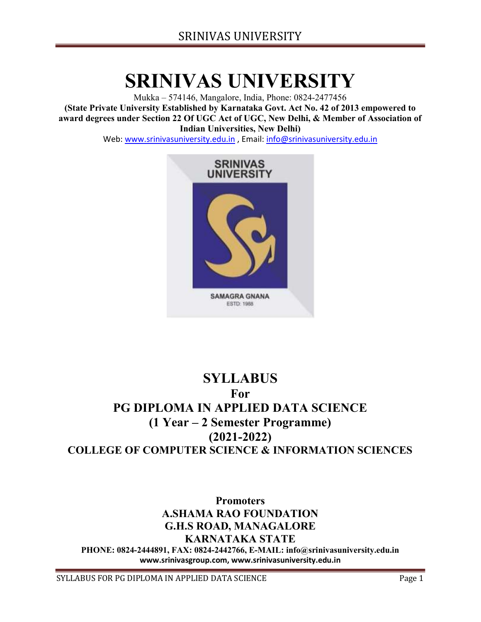# SRINIVAS UNIVERSITY

Mukka – 574146, Mangalore, India, Phone: 0824-2477456 (State Private University Established by Karnataka Govt. Act No. 42 of 2013 empowered to award degrees under Section 22 Of UGC Act of UGC, New Delhi, & Member of Association of Indian Universities, New Delhi)

Web: www.srinivasuniversity.edu.in , Email: info@srinivasuniversity.edu.in



# **SYLLABUS** For PG DIPLOMA IN APPLIED DATA SCIENCE (1 Year – 2 Semester Programme) (2021-2022) COLLEGE OF COMPUTER SCIENCE & INFORMATION SCIENCES

Promoters A.SHAMA RAO FOUNDATION G.H.S ROAD, MANAGALORE KARNATAKA STATE PHONE: 0824-2444891, FAX: 0824-2442766, E-MAIL: info@srinivasuniversity.edu.in www.srinivasgroup.com, www.srinivasuniversity.edu.in

SYLLABUS FOR PG DIPLOMA IN APPLIED DATA SCIENCE FOR THE Page 1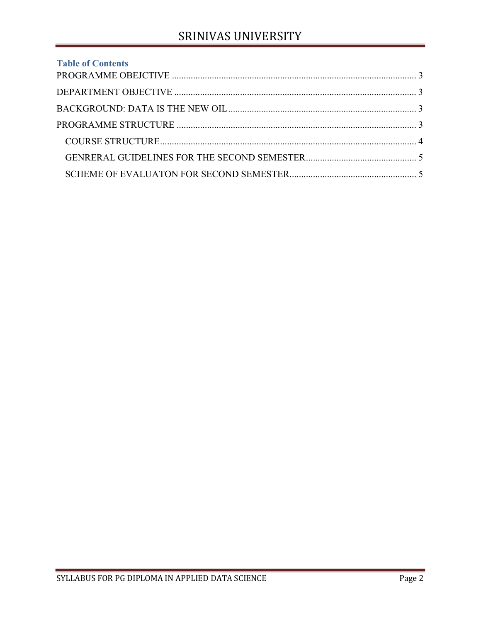# SRINIVAS UNIVERSITY

| <b>Table of Contents</b> |  |
|--------------------------|--|
|                          |  |
|                          |  |
|                          |  |
|                          |  |
|                          |  |
|                          |  |
|                          |  |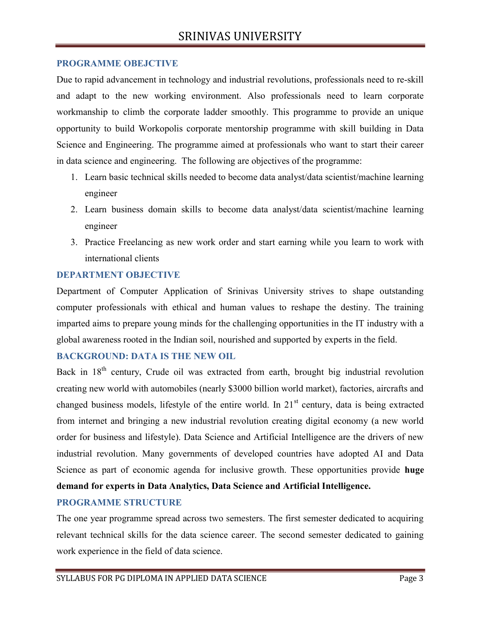## PROGRAMME OBEJCTIVE

Due to rapid advancement in technology and industrial revolutions, professionals need to re-skill and adapt to the new working environment. Also professionals need to learn corporate workmanship to climb the corporate ladder smoothly. This programme to provide an unique opportunity to build Workopolis corporate mentorship programme with skill building in Data Science and Engineering. The programme aimed at professionals who want to start their career in data science and engineering. The following are objectives of the programme:

- 1. Learn basic technical skills needed to become data analyst/data scientist/machine learning engineer
- 2. Learn business domain skills to become data analyst/data scientist/machine learning engineer
- 3. Practice Freelancing as new work order and start earning while you learn to work with international clients

# DEPARTMENT OBJECTIVE

Department of Computer Application of Srinivas University strives to shape outstanding computer professionals with ethical and human values to reshape the destiny. The training imparted aims to prepare young minds for the challenging opportunities in the IT industry with a global awareness rooted in the Indian soil, nourished and supported by experts in the field.

# BACKGROUND: DATA IS THE NEW OIL

Back in  $18<sup>th</sup>$  century, Crude oil was extracted from earth, brought big industrial revolution creating new world with automobiles (nearly \$3000 billion world market), factories, aircrafts and changed business models, lifestyle of the entire world. In 21<sup>st</sup> century, data is being extracted from internet and bringing a new industrial revolution creating digital economy (a new world order for business and lifestyle). Data Science and Artificial Intelligence are the drivers of new industrial revolution. Many governments of developed countries have adopted AI and Data Science as part of economic agenda for inclusive growth. These opportunities provide huge demand for experts in Data Analytics, Data Science and Artificial Intelligence.

# PROGRAMME STRUCTURE

The one year programme spread across two semesters. The first semester dedicated to acquiring relevant technical skills for the data science career. The second semester dedicated to gaining work experience in the field of data science.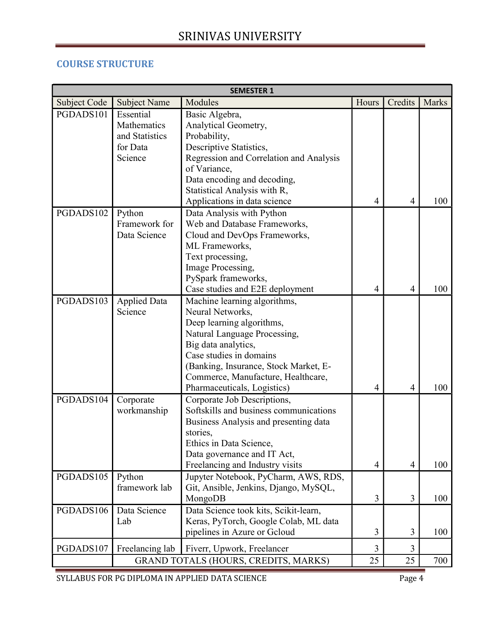# COURSE STRUCTURE

| <b>SEMESTER 1</b> |                     |                                         |       |                |       |  |  |  |  |
|-------------------|---------------------|-----------------------------------------|-------|----------------|-------|--|--|--|--|
| Subject Code      | <b>Subject Name</b> | Modules                                 | Hours | Credits        | Marks |  |  |  |  |
| PGDADS101         | Essential           | Basic Algebra,                          |       |                |       |  |  |  |  |
|                   | Mathematics         | Analytical Geometry,                    |       |                |       |  |  |  |  |
|                   | and Statistics      | Probability,                            |       |                |       |  |  |  |  |
|                   | for Data            | Descriptive Statistics,                 |       |                |       |  |  |  |  |
|                   | Science             | Regression and Correlation and Analysis |       |                |       |  |  |  |  |
|                   |                     | of Variance,                            |       |                |       |  |  |  |  |
|                   |                     | Data encoding and decoding,             |       |                |       |  |  |  |  |
|                   |                     | Statistical Analysis with R,            |       |                |       |  |  |  |  |
|                   |                     | Applications in data science            | 4     | $\overline{4}$ | 100   |  |  |  |  |
| PGDADS102         | Python              | Data Analysis with Python               |       |                |       |  |  |  |  |
|                   | Framework for       | Web and Database Frameworks,            |       |                |       |  |  |  |  |
|                   | Data Science        | Cloud and DevOps Frameworks,            |       |                |       |  |  |  |  |
|                   |                     | ML Frameworks,                          |       |                |       |  |  |  |  |
|                   |                     | Text processing,                        |       |                |       |  |  |  |  |
|                   |                     | Image Processing,                       |       |                |       |  |  |  |  |
|                   |                     | PySpark frameworks,                     |       |                |       |  |  |  |  |
|                   |                     | Case studies and E2E deployment         | 4     | $\overline{4}$ | 100   |  |  |  |  |
| PGDADS103         | <b>Applied Data</b> | Machine learning algorithms,            |       |                |       |  |  |  |  |
|                   | Science             | Neural Networks,                        |       |                |       |  |  |  |  |
|                   |                     | Deep learning algorithms,               |       |                |       |  |  |  |  |
|                   |                     | Natural Language Processing,            |       |                |       |  |  |  |  |
|                   |                     | Big data analytics,                     |       |                |       |  |  |  |  |
|                   |                     | Case studies in domains                 |       |                |       |  |  |  |  |
|                   |                     | (Banking, Insurance, Stock Market, E-   |       |                |       |  |  |  |  |
|                   |                     | Commerce, Manufacture, Healthcare,      |       |                |       |  |  |  |  |
|                   |                     | Pharmaceuticals, Logistics)             | 4     | $\overline{4}$ | 100   |  |  |  |  |
| PGDADS104         | Corporate           | Corporate Job Descriptions,             |       |                |       |  |  |  |  |
|                   | workmanship         | Softskills and business communications  |       |                |       |  |  |  |  |
|                   |                     | Business Analysis and presenting data   |       |                |       |  |  |  |  |
|                   |                     | stories,                                |       |                |       |  |  |  |  |
|                   |                     | Ethics in Data Science,                 |       |                |       |  |  |  |  |
|                   |                     | Data governance and IT Act,             |       |                |       |  |  |  |  |
|                   |                     | Freelancing and Industry visits         | 4     | $\overline{4}$ | 100   |  |  |  |  |
| PGDADS105         | Python              | Jupyter Notebook, PyCharm, AWS, RDS,    |       |                |       |  |  |  |  |
|                   | framework lab       | Git, Ansible, Jenkins, Django, MySQL,   |       |                |       |  |  |  |  |
|                   |                     | MongoDB                                 | 3     | 3              | 100   |  |  |  |  |
| PGDADS106         | Data Science        | Data Science took kits, Scikit-learn,   |       |                |       |  |  |  |  |
|                   | Lab                 | Keras, PyTorch, Google Colab, ML data   |       |                |       |  |  |  |  |
|                   |                     | pipelines in Azure or Gcloud            | 3     | 3              | 100   |  |  |  |  |
| PGDADS107         | Freelancing lab     | Fiverr, Upwork, Freelancer              | 3     | 3              |       |  |  |  |  |
|                   |                     | GRAND TOTALS (HOURS, CREDITS, MARKS)    | 25    | 25             | 700   |  |  |  |  |

SYLLABUS FOR PG DIPLOMA IN APPLIED DATA SCIENCE Page 4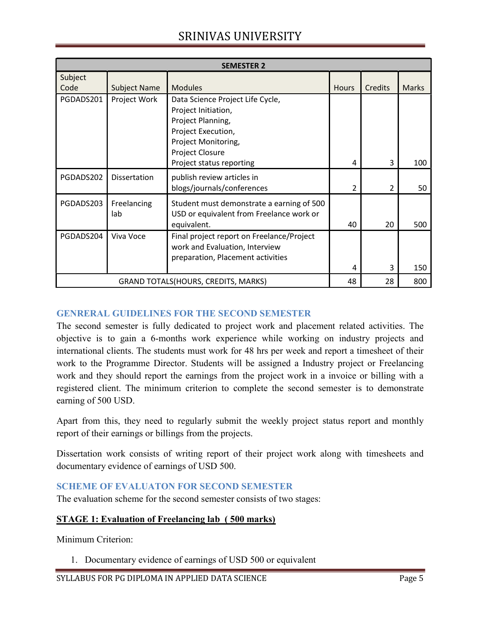# SRINIVAS UNIVERSITY

| <b>SEMESTER 2</b>                           |                     |                                                                                                                                                     |                |         |              |  |  |  |  |  |
|---------------------------------------------|---------------------|-----------------------------------------------------------------------------------------------------------------------------------------------------|----------------|---------|--------------|--|--|--|--|--|
| Subject<br>Code                             | <b>Subject Name</b> | <b>Modules</b>                                                                                                                                      | <b>Hours</b>   | Credits | <b>Marks</b> |  |  |  |  |  |
| PGDADS201                                   | Project Work        | Data Science Project Life Cycle,<br>Project Initiation,<br>Project Planning,<br>Project Execution,<br>Project Monitoring,<br><b>Project Closure</b> |                |         |              |  |  |  |  |  |
|                                             |                     | Project status reporting                                                                                                                            | 4              | 3       | 100          |  |  |  |  |  |
| PGDADS202                                   | <b>Dissertation</b> | publish review articles in<br>blogs/journals/conferences                                                                                            | $\overline{2}$ | 2       | 50           |  |  |  |  |  |
| PGDADS203                                   | Freelancing<br>lab  | Student must demonstrate a earning of 500<br>USD or equivalent from Freelance work or<br>equivalent.                                                | 40             | 20      | 500          |  |  |  |  |  |
| PGDADS204                                   | Viva Voce           | Final project report on Freelance/Project<br>work and Evaluation, Interview<br>preparation, Placement activities                                    | 4              | 3       | 150          |  |  |  |  |  |
| <b>GRAND TOTALS (HOURS, CREDITS, MARKS)</b> |                     |                                                                                                                                                     | 48             | 28      | 800          |  |  |  |  |  |

# GENRERAL GUIDELINES FOR THE SECOND SEMESTER

The second semester is fully dedicated to project work and placement related activities. The objective is to gain a 6-months work experience while working on industry projects and international clients. The students must work for 48 hrs per week and report a timesheet of their work to the Programme Director. Students will be assigned a Industry project or Freelancing work and they should report the earnings from the project work in a invoice or billing with a registered client. The minimum criterion to complete the second semester is to demonstrate earning of 500 USD.

Apart from this, they need to regularly submit the weekly project status report and monthly report of their earnings or billings from the projects.

Dissertation work consists of writing report of their project work along with timesheets and documentary evidence of earnings of USD 500.

# SCHEME OF EVALUATON FOR SECOND SEMESTER

The evaluation scheme for the second semester consists of two stages:

#### STAGE 1: Evaluation of Freelancing lab ( 500 marks)

Minimum Criterion:

1. Documentary evidence of earnings of USD 500 or equivalent